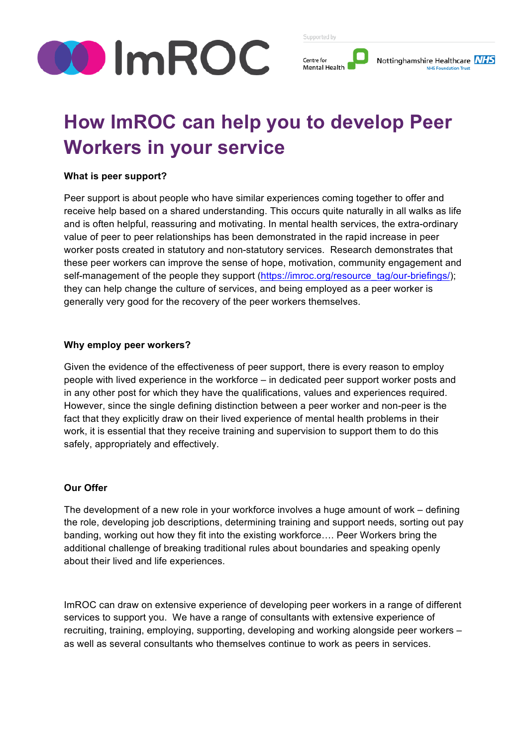

Centre for **Mental Healt** 



# **How ImROC can help you to develop Peer Workers in your service**

#### **What is peer support?**

Peer support is about people who have similar experiences coming together to offer and receive help based on a shared understanding. This occurs quite naturally in all walks as life and is often helpful, reassuring and motivating. In mental health services, the extra-ordinary value of peer to peer relationships has been demonstrated in the rapid increase in peer worker posts created in statutory and non-statutory services. Research demonstrates that these peer workers can improve the sense of hope, motivation, community engagement and self-management of the people they support (https://imroc.org/resource\_tag/our-briefings/); they can help change the culture of services, and being employed as a peer worker is generally very good for the recovery of the peer workers themselves.

### **Why employ peer workers?**

Given the evidence of the effectiveness of peer support, there is every reason to employ people with lived experience in the workforce – in dedicated peer support worker posts and in any other post for which they have the qualifications, values and experiences required. However, since the single defining distinction between a peer worker and non-peer is the fact that they explicitly draw on their lived experience of mental health problems in their work, it is essential that they receive training and supervision to support them to do this safely, appropriately and effectively.

## **Our Offer**

The development of a new role in your workforce involves a huge amount of work – defining the role, developing job descriptions, determining training and support needs, sorting out pay banding, working out how they fit into the existing workforce…. Peer Workers bring the additional challenge of breaking traditional rules about boundaries and speaking openly about their lived and life experiences.

ImROC can draw on extensive experience of developing peer workers in a range of different services to support you. We have a range of consultants with extensive experience of recruiting, training, employing, supporting, developing and working alongside peer workers – as well as several consultants who themselves continue to work as peers in services.